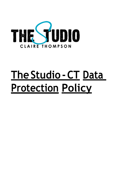

# **TheStudio-CT Data Protection Policy**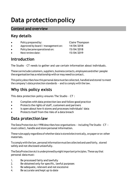## **Data protectionpolicy**

#### **Context and overview**

#### **Key details**

- Policy prepared by: Claire Thompson
- Approved by board / management on: 14/04/2018
- Policy becameoperational on: 15/04/2018
- Nextreview date: 15/04/2019

#### **Introduction**

The Studio – CT needs to gather and use certain information about individuals.

Thesecanincludecustomers, suppliers,businesscontacts,employeesandother people the organisation has a relationship with or may need to contact.

Thispolicydescribes howthispersonal datamust be collected, handled and stored to meet the company's data protection standards — and to comply with the law.

### **Why this policy exists**

This data protection policy ensures The Studio – CT :

- Complies with data protection law and follow good practice
- Protects the rights of staff, customers and partners
- Is open about how it stores and processes individuals' data
- Protects itself from the risks of a data breach

#### **Data protectionlaw**

The Data Protection Act 1998 describes how organisations  $-$  including The Studio -  $CT$ must collect, handle and store personal information.

These rules apply regardless of whether data is stored electronically, on paper or on other materials.

To comply with the law, personal information must be collected and used fairly, stored safely and not disclosed unlawfully.

TheDataProtectionActis underpinnedby eightimportantprinciples.These say that personal datamust:

- 1. Be processed fairly and lawfully
- 2. Be obtained only for specific, lawful purposes
- 3. Be adequate, relevant and not excessive
- 4. Be accurate and kept up to date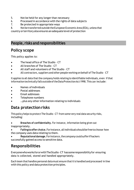- 5. Not be held for any longer than necessary
- 6. Processed in accordance with the rights of data subjects
- 7. Be protected in appropriate ways
- 8. Notbe transferred outside the European EconomicArea (EEA), unless that

country orterritory also ensures anadequatelevel of protection

#### **People, risks and responsibilities**

#### **Policy scope**

This policy applies to:

- The head office of The Studio CT
- All branches of The Studio CT
- All staff and volunteers of The Studio CT
- All contractors, suppliers and other people working on behalf of The Studio CT

It applies to all data that the company holds relating to identifiable individuals, even if that information technically fallsoutside of the Data Protection Act 1998. This can include:

- Names of individuals
- Postal addresses
- Email addresses
- Telephone numbers
- ... plus any other information relating to individuals

#### **Data protectionrisks**

This policy helps to protect The Studio – CT from some very real data security risks, including:

• **Breaches of confidentiality.** For instance, information being given out inappropriately.

• **Failingtoofferchoice.**Forinstance,allindividuals shouldbefreetochoose how the company uses data relating to them.

• **Reputationaldamage.**Forinstance,thecompany couldsufferifhackers successfully gained access to sensitive data.

#### **Responsibilities**

EveryonewhoworksfororwithTheStudio–CT hassomeresponsibilityfor ensuring data is collected, stored and handled appropriately.

Each team that handles personal data must ensure thatitis handled and processed in line with this policy and data protection principles.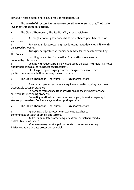However, these people have key areas of responsibility:

• The **board of directors** is ultimately responsible for ensuring that The Studio –CT meets its legal obligations.

• The **Claire Thompson ,** The Studio – CT **,** is responsible for:

o Keepingtheboardupdatedaboutdataprotectionresponsibilities, risks andissues.

o Reviewingalldataprotectionproceduresandrelatedpolicies,inline with an agreed schedule.

Arranging data protection training and advice for the people covered by this policy.

Handling data protection questions from staff and anyone else covered by this policy.

o Dealing with requests from individuals to see the data The Studio – CT holds about them (also called 'subject access requests').

Checking and approving any contracts or agreements with third parties that may handle the company's sensitive data.

• The **Claire Thompson,** The Studio – CT **,** is responsible for:

Ensuring all systems, services and equipment used for storing data meet acceptable security standards.

Performing regular checks and scans to ensure security hardware and software is functioning properly.

o Evaluating any third-party services thecompany isconsideringusing to storeorprocessdata.Forinstance,cloudcomputingservices.

• The **Claire Thompson,** The Studio – CT **,** is responsible for:

o Approvinganydataprotectionstatements attachedto communications such as emails and letters.

o Addressing any data protectionqueries from journalists ormedia outlets likenewspapers.

Where necessary, working with other staff to ensure marketing initiatives abide by data protection principles.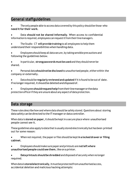#### **General staffguidelines**

- The only people able to access data covered by this policy should be those who **need itfor their work**.
- Data **should not be shared informally**. When access to confidential information is required, employees can request it from their line managers.
- The Studio CT **will provide training** to all employees to help them understand their responsibilities when handling data.
- Employees should keep all data secure, by taking sensible precautions and following the guidelines below.
- In particular, **strongpasswords must beused** and they should neverbe shared.
- Personal data**shouldnotbedisclosed**to unauthorisedpeople,eitherwithin the company or externally.
- Data should be **regularly reviewed and updated** ifitis found to be out of date. If no longer required, it should be deleted and disposed of.
- Employees**shouldrequesthelp**fromtheirlinemanagerorthedata protection officer if they are unsure about any aspect of data protection.

#### **Data storage**

These rules describe how and where data should be safely stored. Questions about storing data safely can be directed to the IT manager or data controller.

When data is **stored on paper,**it should be keptin a secure place where unauthorised people cannot see it.

These guidelines also apply to data that is usually stored electronically but has been printed out for some reason:

- When notrequired,the paper orfiles should be kept**in a locked drawer or filing cabinet**.
- Employees should make sure paper and printouts are **notleft where unauthorised people could see them, like on a printer.**

• **Data printouts should be shredded** and disposed of securely when no longer required.

Whendatais **storedelectronically**,itmustbeprotectedfromunauthorisedaccess, accidental deletion and malicious hacking attempts: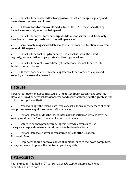• Datashould be**protectedby strongpasswords** thatarechanged regularly and never shared between employees.

- If data is **stored on removable media** (like a CD or DVD),these should be kept locked away securely when not being used.
- Data should only be stored on **designated drives and servers**, and should only beuploaded to an**approvedcloudcomputingservices**.
- Servers containingpersonal datashould be**sitedina securelocation**, away from general office space.
- Datashould be **backedupfrequently**. Thosebackups should be tested regularly, in line with the company's standard backup procedures.
- Data should**never besaved directly** tolaptops or othermobiledevices like tablets or smart phones.
- All servers and computers containing data should be protected by **approved security software and a firewall**.

#### **Datause**

PersonaldataisofnovaluetoTheStudio–CT unlessthebusinesscanmakeuseof it. However, it is when personal data is accessed and used that it can be at the greatest risk of loss, corruption or theft:

- When working with personal data, employees should ensure **the screens of their computers are always locked** whenleft unattended.
- Personal data should not be shared informally. In particular, it should never be sent by email, as this form of communication is not secure.
- Data must be **encrypted before being transferred electronically**. The IT manager can explain how to send data to authorised external contacts.
- Personaldatashould**neverbetransferredoutsideoftheEuropean Economic Area**.
- Employees **shouldnot save copies of personaldata to their own computers.** Always access and update the central copy of any data.

#### **Data accuracy**

The law requires The Studio – CT to take reasonable steps to ensure data is kept accurate and up to date.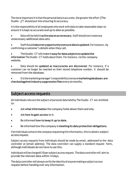The more important it is that the personal data is accurate, the greater the effort [The Studio - CT should put into ensuring its accuracy.

It is the responsibility of all employees who work with data to take reasonable steps to ensure it is kept as accurate and up to date as possible.

• Datawill be held in**as fewplacesasnecessary**. Staff should not create any unnecessary additional data sets.

• Staffshould**takeeveryopportunitytoensuredataisupdated.**Forinstance, by confirming a customer's details when they call.

• TheStudio–CT willmakeit**easyfordatasubjects toupdatethe information** The Studio - CT holds about them. For instance, via the company website.

• Data should be **updated as inaccuracies are discovered**. For instance, if a customer can no longer be reached on their stored telephone number, it should be removed from the database.

• Itis themarketingmanager's responsibilitytoensure**marketingdatabases are checkedagainstindustrysuppressionfiles**every sixmonths.

#### **Subject access requests**

All individuals who are the subject of personal data held by The Studio – CT are entitled to:

- Ask what information the company holds about them and why.
- Ask **how to gain access** to it.
- Be informed **how to keep it up to date.**
- Be informed how the company is **meeting its data protection obligations**.

If an individual contacts the company requesting this information, this is called a subject access request.

Subject access requests from individuals should be made by email, addressed to the data controller at [email address]. The data controller can supply a standard request form, although individuals do not have to use this.

Individualswill becharged£10per subjectaccess request.Thedatacontrollerwill aim to provide the relevant data within 14 days.

Thedatacontrollerwill alwaysverify theidentity ofanyonemakinga subjectaccess request before handing over any information.